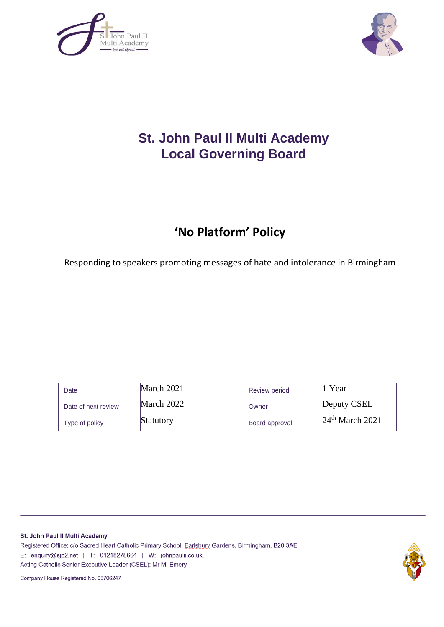



# **St. John Paul II Multi Academy Local Governing Board**

# **'No Platform' Policy**

Responding to speakers promoting messages of hate and intolerance in Birmingham

| Date                | March 2021 | Review period  | Year              |
|---------------------|------------|----------------|-------------------|
| Date of next review | March 2022 | Owner          | Deputy CSEL       |
| Type of policy      | Statutory  | Board approval | $24th$ March 2021 |

St. John Paul II Multi Academy Registered Office: c/o Sacred Heart Catholic Primary School, Earlsbury Gardens, Birmingham, B20 3AE E: enquiry@sjp2.net | T: 01218278664 | W: johnpaulii.co.uk. Acting Catholic Senior Executive Leader (CSEL): Mr M. Emery

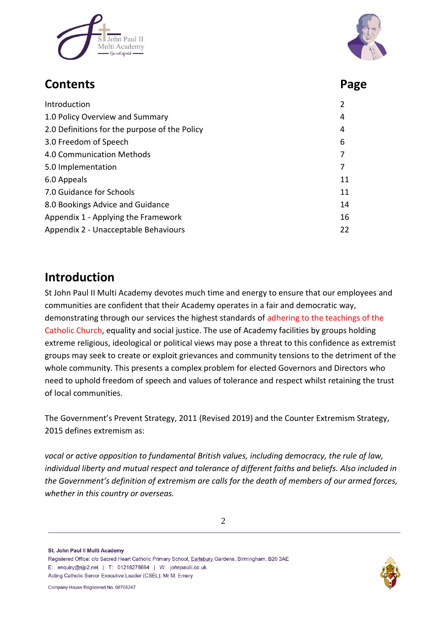



## **Contents Page**

| Introduction                                  |    |
|-----------------------------------------------|----|
| 1.0 Policy Overview and Summary               |    |
| 2.0 Definitions for the purpose of the Policy |    |
| 3.0 Freedom of Speech                         | 6  |
| 4.0 Communication Methods                     |    |
| 5.0 Implementation                            | 7  |
| 6.0 Appeals                                   | 11 |
| 7.0 Guidance for Schools                      | 11 |
| 8.0 Bookings Advice and Guidance              | 14 |
| Appendix 1 - Applying the Framework           | 16 |
| Appendix 2 - Unacceptable Behaviours          |    |

## **Introduction**

St John Paul II Multi Academy devotes much time and energy to ensure that our employees and communities are confident that their Academy operates in a fair and democratic way, demonstrating through our services the highest standards of adhering to the teachings of the Catholic Church, equality and social justice. The use of Academy facilities by groups holding extreme religious, ideological or political views may pose a threat to this confidence as extremist groups may seek to create or exploit grievances and community tensions to the detriment of the whole community. This presents a complex problem for elected Governors and Directors who need to uphold freedom of speech and values of tolerance and respect whilst retaining the trust of local communities.

The Government's Prevent Strategy, 2011 (Revised 2019) and the Counter Extremism Strategy, 2015 defines extremism as:

*vocal or active opposition to fundamental British values, including democracy, the rule of law, individual liberty and mutual respect and tolerance of different faiths and beliefs. Also included in the Government's definition of extremism are calls for the death of members of our armed forces, whether in this country or overseas.*

St. John Paul II Multi Academy

Registered Office: c/o Sacred Heart Catholic Primary School, Earlsbury Gardens, Birmingham, B20 3AE E: enquiry@sjp2.net | T: 01218278664 | W: johnpaulii.co.uk. Acting Catholic Senior Executive Leader (CSEL): Mr M. Emery

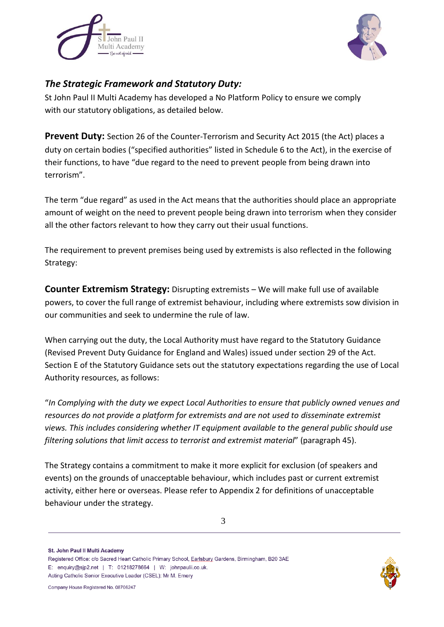



### *The Strategic Framework and Statutory Duty:*

St John Paul II Multi Academy has developed a No Platform Policy to ensure we comply with our statutory obligations, as detailed below.

**Prevent Duty:** Section 26 of the Counter-Terrorism and Security Act 2015 (the Act) places a duty on certain bodies ("specified authorities" listed in Schedule 6 to the Act), in the exercise of their functions, to have "due regard to the need to prevent people from being drawn into terrorism".

The term "due regard" as used in the Act means that the authorities should place an appropriate amount of weight on the need to prevent people being drawn into terrorism when they consider all the other factors relevant to how they carry out their usual functions.

The requirement to prevent premises being used by extremists is also reflected in the following Strategy:

**Counter Extremism Strategy:** Disrupting extremists – We will make full use of available powers, to cover the full range of extremist behaviour, including where extremists sow division in our communities and seek to undermine the rule of law.

When carrying out the duty, the Local Authority must have regard to the Statutory Guidance (Revised Prevent Duty Guidance for England and Wales) issued under section 29 of the Act. Section E of the Statutory Guidance sets out the statutory expectations regarding the use of Local Authority resources, as follows:

"*In Complying with the duty we expect Local Authorities to ensure that publicly owned venues and resources do not provide a platform for extremists and are not used to disseminate extremist views. This includes considering whether IT equipment available to the general public should use filtering solutions that limit access to terrorist and extremist material*" (paragraph 45).

The Strategy contains a commitment to make it more explicit for exclusion (of speakers and events) on the grounds of unacceptable behaviour, which includes past or current extremist activity, either here or overseas. Please refer to Appendix 2 for definitions of unacceptable behaviour under the strategy.

St. John Paul II Multi Academy

Registered Office: c/o Sacred Heart Catholic Primary School, Earlsbury Gardens, Birmingham, B20 3AE E: enquiry@sjp2.net | T: 01218278664 | W: johnpaulii.co.uk. Acting Catholic Senior Executive Leader (CSEL): Mr M. Emery

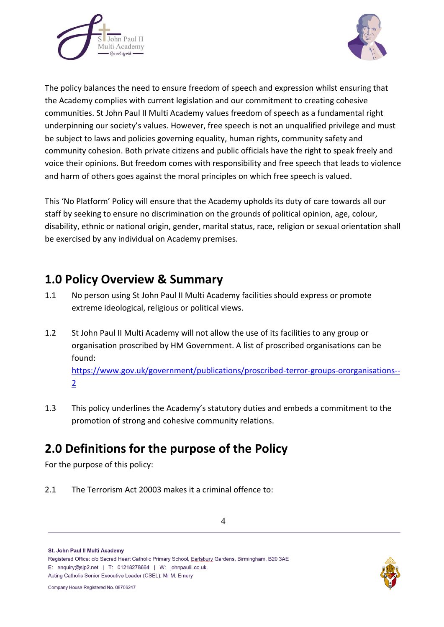



The policy balances the need to ensure freedom of speech and expression whilst ensuring that the Academy complies with current legislation and our commitment to creating cohesive communities. St John Paul II Multi Academy values freedom of speech as a fundamental right underpinning our society's values. However, free speech is not an unqualified privilege and must be subject to laws and policies governing equality, human rights, community safety and community cohesion. Both private citizens and public officials have the right to speak freely and voice their opinions. But freedom comes with responsibility and free speech that leads to violence and harm of others goes against the moral principles on which free speech is valued.

This 'No Platform' Policy will ensure that the Academy upholds its duty of care towards all our staff by seeking to ensure no discrimination on the grounds of political opinion, age, colour, disability, ethnic or national origin, gender, marital status, race, religion or sexual orientation shall be exercised by any individual on Academy premises.

## **1.0 Policy Overview & Summary**

- 1.1 No person using St John Paul II Multi Academy facilities should express or promote extreme ideological, religious or political views.
- 1.2 St John Paul II Multi Academy will not allow the use of its facilities to any group or organisation proscribed by HM Government. A list of proscribed organisations can be found:

[https://www.gov.uk/government/publications/proscribed-terror-groups-ororganisations--](https://www.gov.uk/government/publications/proscribed-terror-groups-ororganisations--2) [2](https://www.gov.uk/government/publications/proscribed-terror-groups-ororganisations--2)

1.3 This policy underlines the Academy's statutory duties and embeds a commitment to the promotion of strong and cohesive community relations.

## **2.0 Definitions for the purpose of the Policy**

For the purpose of this policy:

2.1 The Terrorism Act 20003 makes it a criminal offence to:

St. John Paul II Multi Academy

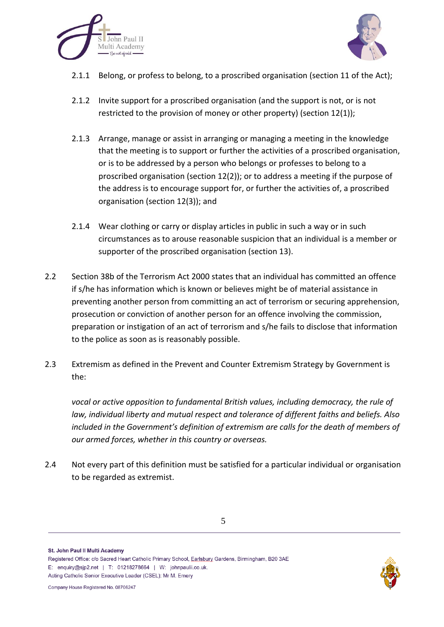



- 2.1.1 Belong, or profess to belong, to a proscribed organisation (section 11 of the Act);
- 2.1.2 Invite support for a proscribed organisation (and the support is not, or is not restricted to the provision of money or other property) (section 12(1));
- 2.1.3 Arrange, manage or assist in arranging or managing a meeting in the knowledge that the meeting is to support or further the activities of a proscribed organisation, or is to be addressed by a person who belongs or professes to belong to a proscribed organisation (section 12(2)); or to address a meeting if the purpose of the address is to encourage support for, or further the activities of, a proscribed organisation (section 12(3)); and
- 2.1.4 Wear clothing or carry or display articles in public in such a way or in such circumstances as to arouse reasonable suspicion that an individual is a member or supporter of the proscribed organisation (section 13).
- 2.2 Section 38b of the Terrorism Act 2000 states that an individual has committed an offence if s/he has information which is known or believes might be of material assistance in preventing another person from committing an act of terrorism or securing apprehension, prosecution or conviction of another person for an offence involving the commission, preparation or instigation of an act of terrorism and s/he fails to disclose that information to the police as soon as is reasonably possible.
- 2.3 Extremism as defined in the Prevent and Counter Extremism Strategy by Government is the:

*vocal or active opposition to fundamental British values, including democracy, the rule of law, individual liberty and mutual respect and tolerance of different faiths and beliefs. Also included in the Government's definition of extremism are calls for the death of members of our armed forces, whether in this country or overseas.*

2.4 Not every part of this definition must be satisfied for a particular individual or organisation to be regarded as extremist.

St. John Paul II Multi Academy

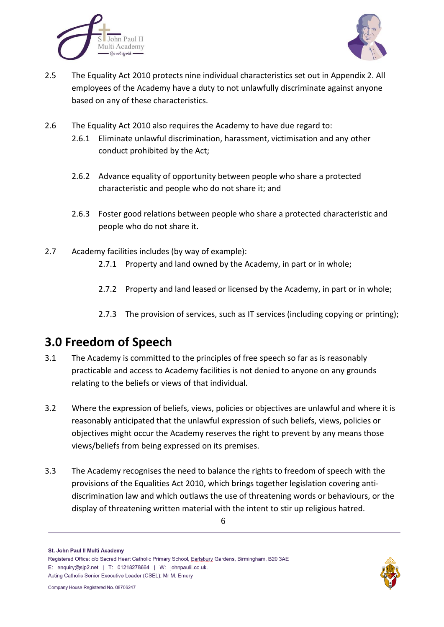



- 2.5 The Equality Act 2010 protects nine individual characteristics set out in Appendix 2. All employees of the Academy have a duty to not unlawfully discriminate against anyone based on any of these characteristics.
- 2.6 The Equality Act 2010 also requires the Academy to have due regard to:
	- 2.6.1 Eliminate unlawful discrimination, harassment, victimisation and any other conduct prohibited by the Act;
	- 2.6.2 Advance equality of opportunity between people who share a protected characteristic and people who do not share it; and
	- 2.6.3 Foster good relations between people who share a protected characteristic and people who do not share it.
- 2.7 Academy facilities includes (by way of example):
	- 2.7.1 Property and land owned by the Academy, in part or in whole;
	- 2.7.2 Property and land leased or licensed by the Academy, in part or in whole;
	- 2.7.3 The provision of services, such as IT services (including copying or printing);

## **3.0 Freedom of Speech**

- 3.1 The Academy is committed to the principles of free speech so far as is reasonably practicable and access to Academy facilities is not denied to anyone on any grounds relating to the beliefs or views of that individual.
- 3.2 Where the expression of beliefs, views, policies or objectives are unlawful and where it is reasonably anticipated that the unlawful expression of such beliefs, views, policies or objectives might occur the Academy reserves the right to prevent by any means those views/beliefs from being expressed on its premises.
- 3.3 The Academy recognises the need to balance the rights to freedom of speech with the provisions of the Equalities Act 2010, which brings together legislation covering antidiscrimination law and which outlaws the use of threatening words or behaviours, or the display of threatening written material with the intent to stir up religious hatred.

St. John Paul II Multi Academy

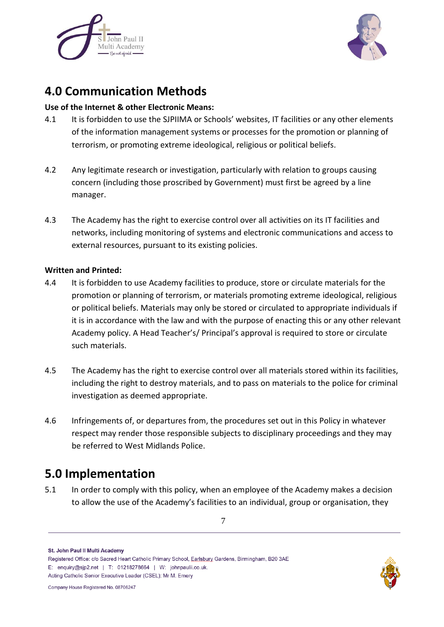



## **4.0 Communication Methods**

### **Use of the Internet & other Electronic Means:**

- 4.1 It is forbidden to use the SJPIIMA or Schools' websites, IT facilities or any other elements of the information management systems or processes for the promotion or planning of terrorism, or promoting extreme ideological, religious or political beliefs.
- 4.2 Any legitimate research or investigation, particularly with relation to groups causing concern (including those proscribed by Government) must first be agreed by a line manager.
- 4.3 The Academy has the right to exercise control over all activities on its IT facilities and networks, including monitoring of systems and electronic communications and access to external resources, pursuant to its existing policies.

#### **Written and Printed:**

- 4.4 It is forbidden to use Academy facilities to produce, store or circulate materials for the promotion or planning of terrorism, or materials promoting extreme ideological, religious or political beliefs. Materials may only be stored or circulated to appropriate individuals if it is in accordance with the law and with the purpose of enacting this or any other relevant Academy policy. A Head Teacher's/ Principal's approval is required to store or circulate such materials.
- 4.5 The Academy has the right to exercise control over all materials stored within its facilities, including the right to destroy materials, and to pass on materials to the police for criminal investigation as deemed appropriate.
- 4.6 Infringements of, or departures from, the procedures set out in this Policy in whatever respect may render those responsible subjects to disciplinary proceedings and they may be referred to West Midlands Police.

## **5.0 Implementation**

5.1 In order to comply with this policy, when an employee of the Academy makes a decision to allow the use of the Academy's facilities to an individual, group or organisation, they

St. John Paul II Multi Academy

Registered Office: c/o Sacred Heart Catholic Primary School, Earlsbury Gardens, Birmingham, B20 3AE E: enquiry@sip2.net | T: 01218278664 | W: johnpaulii.co.uk. Acting Catholic Senior Executive Leader (CSEL): Mr M. Emery

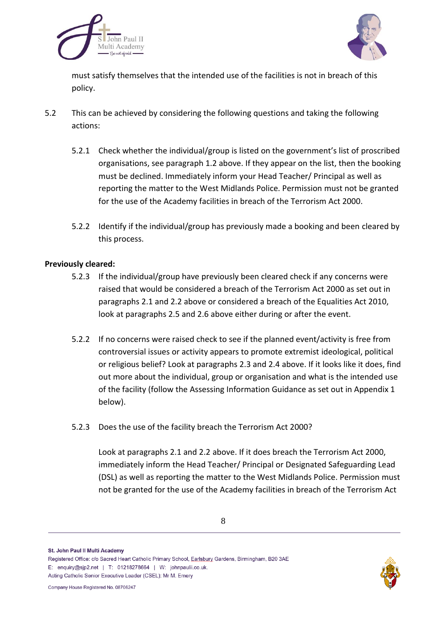



must satisfy themselves that the intended use of the facilities is not in breach of this policy.

- 5.2 This can be achieved by considering the following questions and taking the following actions:
	- 5.2.1 Check whether the individual/group is listed on the government's list of proscribed organisations, see paragraph 1.2 above. If they appear on the list, then the booking must be declined. Immediately inform your Head Teacher/ Principal as well as reporting the matter to the West Midlands Police. Permission must not be granted for the use of the Academy facilities in breach of the Terrorism Act 2000.
	- 5.2.2 Identify if the individual/group has previously made a booking and been cleared by this process.

#### **Previously cleared:**

- 5.2.3 If the individual/group have previously been cleared check if any concerns were raised that would be considered a breach of the Terrorism Act 2000 as set out in paragraphs 2.1 and 2.2 above or considered a breach of the Equalities Act 2010, look at paragraphs 2.5 and 2.6 above either during or after the event.
- 5.2.2 If no concerns were raised check to see if the planned event/activity is free from controversial issues or activity appears to promote extremist ideological, political or religious belief? Look at paragraphs 2.3 and 2.4 above. If it looks like it does, find out more about the individual, group or organisation and what is the intended use of the facility (follow the Assessing Information Guidance as set out in Appendix 1 below).
- 5.2.3 Does the use of the facility breach the Terrorism Act 2000?

Look at paragraphs 2.1 and 2.2 above. If it does breach the Terrorism Act 2000, immediately inform the Head Teacher/ Principal or Designated Safeguarding Lead (DSL) as well as reporting the matter to the West Midlands Police. Permission must not be granted for the use of the Academy facilities in breach of the Terrorism Act

St. John Paul II Multi Academy



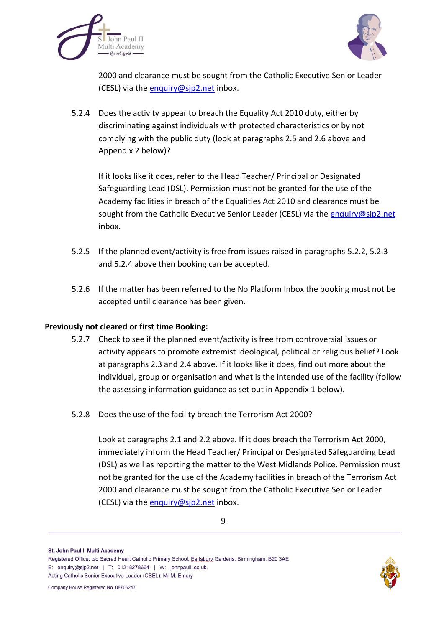



2000 and clearance must be sought from the Catholic Executive Senior Leader (CESL) via the [enquiry@sjp2.net](mailto:enquiry@sjp2.net) inbox.

5.2.4 Does the activity appear to breach the Equality Act 2010 duty, either by discriminating against individuals with protected characteristics or by not complying with the public duty (look at paragraphs 2.5 and 2.6 above and Appendix 2 below)?

If it looks like it does, refer to the Head Teacher/ Principal or Designated Safeguarding Lead (DSL). Permission must not be granted for the use of the Academy facilities in breach of the Equalities Act 2010 and clearance must be sought from the Catholic Executive Senior Leader (CESL) via the [enquiry@sjp2.net](mailto:enquiry@sjp2.net) inbox.

- 5.2.5 If the planned event/activity is free from issues raised in paragraphs 5.2.2, 5.2.3 and 5.2.4 above then booking can be accepted.
- 5.2.6 If the matter has been referred to the No Platform Inbox the booking must not be accepted until clearance has been given.

#### **Previously not cleared or first time Booking:**

- 5.2.7 Check to see if the planned event/activity is free from controversial issues or activity appears to promote extremist ideological, political or religious belief? Look at paragraphs 2.3 and 2.4 above. If it looks like it does, find out more about the individual, group or organisation and what is the intended use of the facility (follow the assessing information guidance as set out in Appendix 1 below).
- 5.2.8 Does the use of the facility breach the Terrorism Act 2000?

Look at paragraphs 2.1 and 2.2 above. If it does breach the Terrorism Act 2000, immediately inform the Head Teacher/ Principal or Designated Safeguarding Lead (DSL) as well as reporting the matter to the West Midlands Police. Permission must not be granted for the use of the Academy facilities in breach of the Terrorism Act 2000 and clearance must be sought from the Catholic Executive Senior Leader (CESL) via the [enquiry@sjp2.net](mailto:enquiry@sjp2.net) inbox.

St. John Paul II Multi Academy

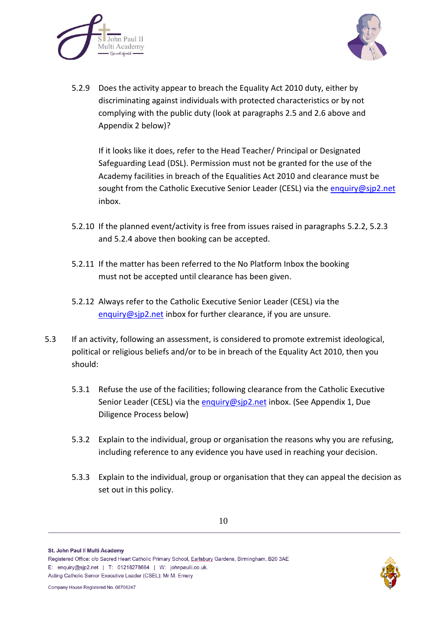



5.2.9 Does the activity appear to breach the Equality Act 2010 duty, either by discriminating against individuals with protected characteristics or by not complying with the public duty (look at paragraphs 2.5 and 2.6 above and Appendix 2 below)?

If it looks like it does, refer to the Head Teacher/ Principal or Designated Safeguarding Lead (DSL). Permission must not be granted for the use of the Academy facilities in breach of the Equalities Act 2010 and clearance must be sought from the Catholic Executive Senior Leader (CESL) via the [enquiry@sjp2.net](mailto:enquiry@sjp2.net) inbox.

- 5.2.10 If the planned event/activity is free from issues raised in paragraphs 5.2.2, 5.2.3 and 5.2.4 above then booking can be accepted.
- 5.2.11 If the matter has been referred to the No Platform Inbox the booking must not be accepted until clearance has been given.
- 5.2.12 Always refer to the Catholic Executive Senior Leader (CESL) via the [enquiry@sjp2.net](mailto:enquiry@sjp2.net) inbox for further clearance, if you are unsure.
- 5.3 If an activity, following an assessment, is considered to promote extremist ideological, political or religious beliefs and/or to be in breach of the Equality Act 2010, then you should:
	- 5.3.1 Refuse the use of the facilities; following clearance from the Catholic Executive Senior Leader (CESL) via the [enquiry@sjp2.net](mailto:enquiry@sjp2.net) inbox. (See Appendix 1, Due Diligence Process below)
	- 5.3.2 Explain to the individual, group or organisation the reasons why you are refusing, including reference to any evidence you have used in reaching your decision.
	- 5.3.3 Explain to the individual, group or organisation that they can appeal the decision as set out in this policy.

St. John Paul II Multi Academy



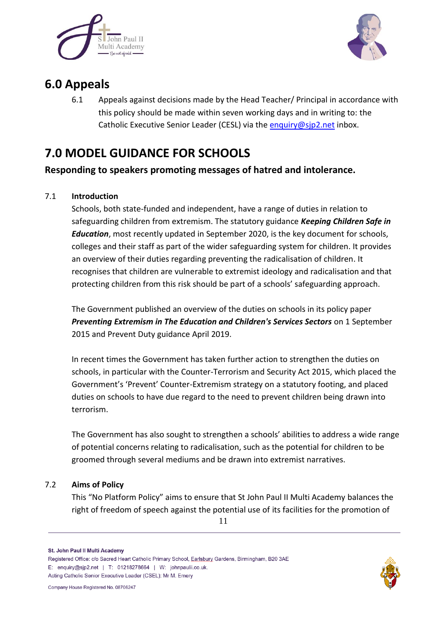



## **6.0 Appeals**

6.1 Appeals against decisions made by the Head Teacher/ Principal in accordance with this policy should be made within seven working days and in writing to: the Catholic Executive Senior Leader (CESL) via th[e enquiry@sjp2.net](mailto:enquiry@sjp2.net) inbox.

## **7.0 MODEL GUIDANCE FOR SCHOOLS**

**Responding to speakers promoting messages of hatred and intolerance.**

### 7.1 **Introduction**

Schools, both state-funded and independent, have a range of duties in relation to safeguarding children from extremism. The statutory guidance *Keeping Children Safe in Education*, most recently updated in September 2020, is the key document for schools, colleges and their staff as part of the wider safeguarding system for children. It provides an overview of their duties regarding preventing the radicalisation of children. It recognises that children are vulnerable to extremist ideology and radicalisation and that protecting children from this risk should be part of a schools' safeguarding approach.

The Government published an overview of the duties on schools in its policy paper *Preventing Extremism in The Education and Children's Services Sectors* on 1 September 2015 and Prevent Duty guidance April 2019.

In recent times the Government has taken further action to strengthen the duties on schools, in particular with the Counter-Terrorism and Security Act 2015, which placed the Government's 'Prevent' Counter-Extremism strategy on a statutory footing, and placed duties on schools to have due regard to the need to prevent children being drawn into terrorism.

The Government has also sought to strengthen a schools' abilities to address a wide range of potential concerns relating to radicalisation, such as the potential for children to be groomed through several mediums and be drawn into extremist narratives.

### 7.2 **Aims of Policy**

This "No Platform Policy" aims to ensure that St John Paul II Multi Academy balances the right of freedom of speech against the potential use of its facilities for the promotion of

Registered Office: c/o Sacred Heart Catholic Primary School, Earlsbury Gardens, Birmingham, B20 3AE E: enquiry@sjp2.net | T: 01218278664 | W: johnpaulii.co.uk. Acting Catholic Senior Executive Leader (CSEL): Mr M. Emery



St. John Paul II Multi Academy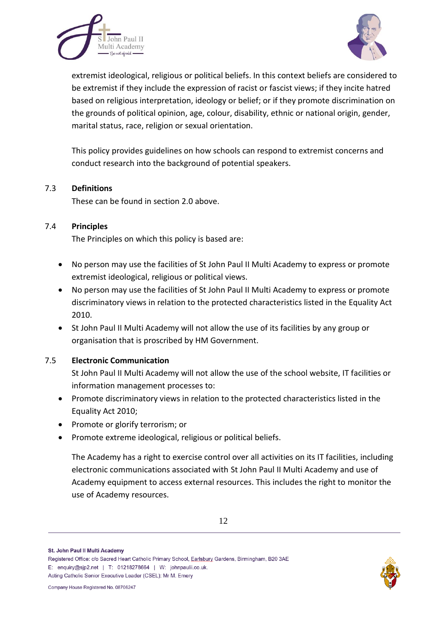



extremist ideological, religious or political beliefs. In this context beliefs are considered to be extremist if they include the expression of racist or fascist views; if they incite hatred based on religious interpretation, ideology or belief; or if they promote discrimination on the grounds of political opinion, age, colour, disability, ethnic or national origin, gender, marital status, race, religion or sexual orientation.

This policy provides guidelines on how schools can respond to extremist concerns and conduct research into the background of potential speakers.

#### 7.3 **Definitions**

These can be found in section 2.0 above.

#### 7.4 **Principles**

The Principles on which this policy is based are:

- No person may use the facilities of St John Paul II Multi Academy to express or promote extremist ideological, religious or political views.
- No person may use the facilities of St John Paul II Multi Academy to express or promote discriminatory views in relation to the protected characteristics listed in the Equality Act 2010.
- St John Paul II Multi Academy will not allow the use of its facilities by any group or organisation that is proscribed by HM Government.

#### 7.5 **Electronic Communication**

St John Paul II Multi Academy will not allow the use of the school website, IT facilities or information management processes to:

- Promote discriminatory views in relation to the protected characteristics listed in the Equality Act 2010;
- Promote or glorify terrorism; or
- Promote extreme ideological, religious or political beliefs.

The Academy has a right to exercise control over all activities on its IT facilities, including electronic communications associated with St John Paul II Multi Academy and use of Academy equipment to access external resources. This includes the right to monitor the use of Academy resources.

St. John Paul II Multi Academy

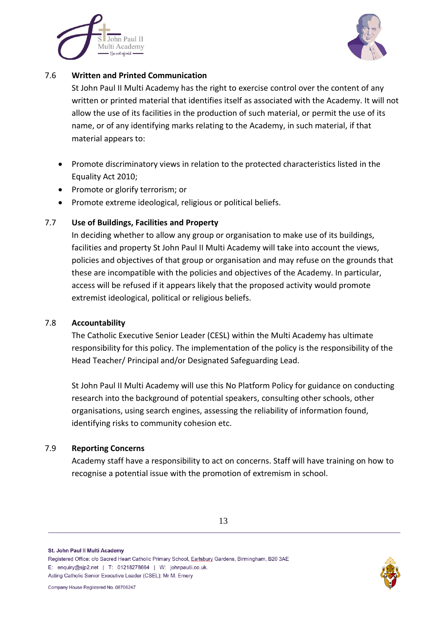



#### 7.6 **Written and Printed Communication**

St John Paul II Multi Academy has the right to exercise control over the content of any written or printed material that identifies itself as associated with the Academy. It will not allow the use of its facilities in the production of such material, or permit the use of its name, or of any identifying marks relating to the Academy, in such material, if that material appears to:

- Promote discriminatory views in relation to the protected characteristics listed in the Equality Act 2010;
- Promote or glorify terrorism; or
- Promote extreme ideological, religious or political beliefs.

#### 7.7 **Use of Buildings, Facilities and Property**

In deciding whether to allow any group or organisation to make use of its buildings, facilities and property St John Paul II Multi Academy will take into account the views, policies and objectives of that group or organisation and may refuse on the grounds that these are incompatible with the policies and objectives of the Academy. In particular, access will be refused if it appears likely that the proposed activity would promote extremist ideological, political or religious beliefs.

#### 7.8 **Accountability**

The Catholic Executive Senior Leader (CESL) within the Multi Academy has ultimate responsibility for this policy. The implementation of the policy is the responsibility of the Head Teacher/ Principal and/or Designated Safeguarding Lead.

St John Paul II Multi Academy will use this No Platform Policy for guidance on conducting research into the background of potential speakers, consulting other schools, other organisations, using search engines, assessing the reliability of information found, identifying risks to community cohesion etc.

#### 7.9 **Reporting Concerns**

Academy staff have a responsibility to act on concerns. Staff will have training on how to recognise a potential issue with the promotion of extremism in school.

St. John Paul II Multi Academy

Registered Office: c/o Sacred Heart Catholic Primary School, Earlsbury Gardens, Birmingham, B20 3AE E: enquiry@sip2.net | T: 01218278664 | W: johnpaulii.co.uk. Acting Catholic Senior Executive Leader (CSEL): Mr M. Emery

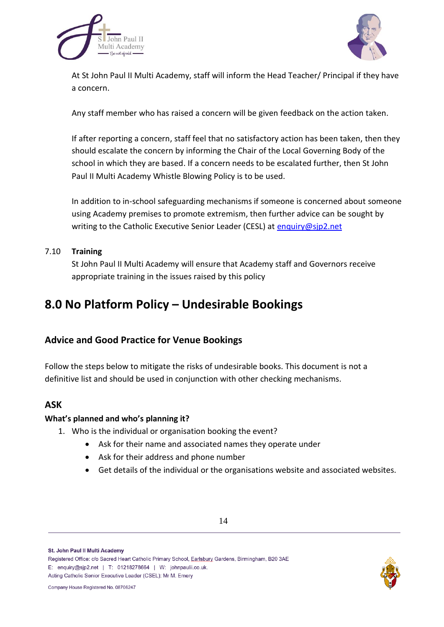



At St John Paul II Multi Academy, staff will inform the Head Teacher/ Principal if they have a concern.

Any staff member who has raised a concern will be given feedback on the action taken.

If after reporting a concern, staff feel that no satisfactory action has been taken, then they should escalate the concern by informing the Chair of the Local Governing Body of the school in which they are based. If a concern needs to be escalated further, then St John Paul II Multi Academy Whistle Blowing Policy is to be used.

In addition to in-school safeguarding mechanisms if someone is concerned about someone using Academy premises to promote extremism, then further advice can be sought by writing to the Catholic Executive Senior Leader (CESL) at [enquiry@sjp2.net](mailto:enquiry@sjp2.net)

#### 7.10 **Training**

St John Paul II Multi Academy will ensure that Academy staff and Governors receive appropriate training in the issues raised by this policy

## **8.0 No Platform Policy – Undesirable Bookings**

### **Advice and Good Practice for Venue Bookings**

Follow the steps below to mitigate the risks of undesirable books. This document is not a definitive list and should be used in conjunction with other checking mechanisms.

### **ASK**

#### **What's planned and who's planning it?**

- 1. Who is the individual or organisation booking the event?
	- Ask for their name and associated names they operate under
	- Ask for their address and phone number
	- Get details of the individual or the organisations website and associated websites.

St. John Paul II Multi Academy

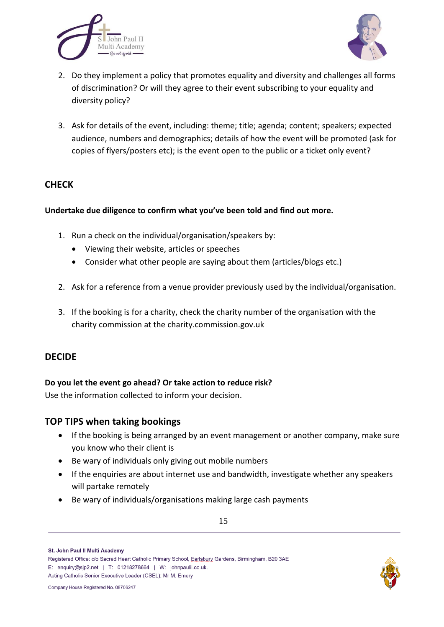



- 2. Do they implement a policy that promotes equality and diversity and challenges all forms of discrimination? Or will they agree to their event subscribing to your equality and diversity policy?
- 3. Ask for details of the event, including: theme; title; agenda; content; speakers; expected audience, numbers and demographics; details of how the event will be promoted (ask for copies of flyers/posters etc); is the event open to the public or a ticket only event?

### **CHECK**

#### **Undertake due diligence to confirm what you've been told and find out more.**

- 1. Run a check on the individual/organisation/speakers by:
	- Viewing their website, articles or speeches
	- Consider what other people are saying about them (articles/blogs etc.)
- 2. Ask for a reference from a venue provider previously used by the individual/organisation.
- 3. If the booking is for a charity, check the charity number of the organisation with the charity commission at the charity.commission.gov.uk

#### **DECIDE**

#### **Do you let the event go ahead? Or take action to reduce risk?**

Use the information collected to inform your decision.

#### **TOP TIPS when taking bookings**

- If the booking is being arranged by an event management or another company, make sure you know who their client is
- Be wary of individuals only giving out mobile numbers
- If the enquiries are about internet use and bandwidth, investigate whether any speakers will partake remotely
- Be wary of individuals/organisations making large cash payments

Registered Office: c/o Sacred Heart Catholic Primary School, Earlsbury Gardens, Birmingham, B20 3AE E: enquiry@sjp2.net | T: 01218278664 | W: johnpaulii.co.uk. Acting Catholic Senior Executive Leader (CSEL): Mr M. Emery





St. John Paul II Multi Academy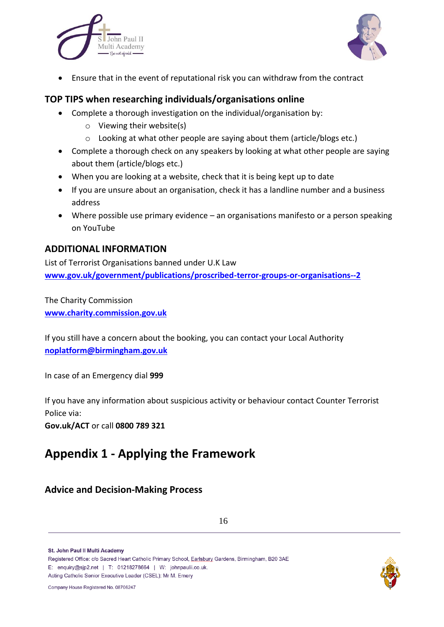



Ensure that in the event of reputational risk you can withdraw from the contract

### **TOP TIPS when researching individuals/organisations online**

- Complete a thorough investigation on the individual/organisation by:
	- o Viewing their website(s)
	- o Looking at what other people are saying about them (article/blogs etc.)
- Complete a thorough check on any speakers by looking at what other people are saying about them (article/blogs etc.)
- When you are looking at a website, check that it is being kept up to date
- If you are unsure about an organisation, check it has a landline number and a business address
- Where possible use primary evidence an organisations manifesto or a person speaking on YouTube

#### **ADDITIONAL INFORMATION**

List of Terrorist Organisations banned under U.K Law **[www.gov.uk/government/publications/proscribed-terror-groups-or-organisations--2](http://www.gov.uk/government/publications/proscribed-terror-groups-or-organisations--2)**

The Charity Commission **[www.charity.commission.gov.uk](http://www.charity.commission.gov.uk/)**

If you still have a concern about the booking, you can contact your Local Authority **[noplatform@birmingham.gov.uk](mailto:noplatform@birmingham.gov.uk)**

In case of an Emergency dial **999**

If you have any information about suspicious activity or behaviour contact Counter Terrorist Police via:

**Gov.uk/ACT** or call **0800 789 321**

## **Appendix 1 - Applying the Framework**

### **Advice and Decision-Making Process**

St. John Paul II Multi Academy

Registered Office: c/o Sacred Heart Catholic Primary School, Earlsbury Gardens, Birmingham, B20 3AE E: enquiry@sjp2.net | T: 01218278664 | W: johnpaulii.co.uk. Acting Catholic Senior Executive Leader (CSEL): Mr M. Emery

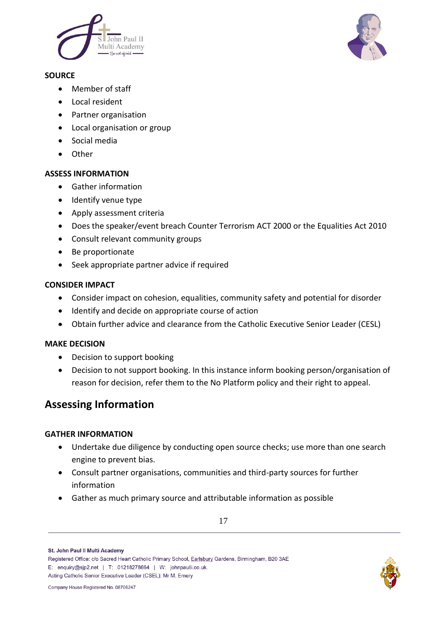

#### **SOURCE**

- Member of staff
- **•** Local resident
- Partner organisation
- Local organisation or group
- Social media
- Other

#### **ASSESS INFORMATION**

- Gather information
- Identify venue type
- Apply assessment criteria
- Does the speaker/event breach Counter Terrorism ACT 2000 or the Equalities Act 2010
- Consult relevant community groups
- Be proportionate
- Seek appropriate partner advice if required

#### **CONSIDER IMPACT**

- Consider impact on cohesion, equalities, community safety and potential for disorder
- Identify and decide on appropriate course of action
- Obtain further advice and clearance from the Catholic Executive Senior Leader (CESL)

#### **MAKE DECISION**

- Decision to support booking
- Decision to not support booking. In this instance inform booking person/organisation of reason for decision, refer them to the No Platform policy and their right to appeal.

## **Assessing Information**

#### **GATHER INFORMATION**

- Undertake due diligence by conducting open source checks; use more than one search engine to prevent bias.
- Consult partner organisations, communities and third-party sources for further information
- Gather as much primary source and attributable information as possible

St. John Paul II Multi Academy



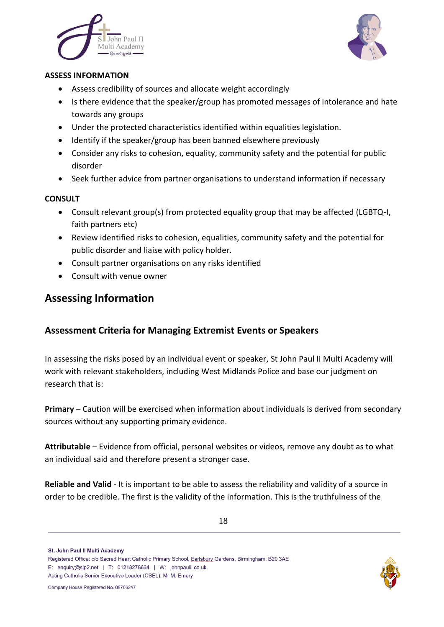



#### **ASSESS INFORMATION**

- Assess credibility of sources and allocate weight accordingly
- Is there evidence that the speaker/group has promoted messages of intolerance and hate towards any groups
- Under the protected characteristics identified within equalities legislation.
- Identify if the speaker/group has been banned elsewhere previously
- Consider any risks to cohesion, equality, community safety and the potential for public disorder
- Seek further advice from partner organisations to understand information if necessary

#### **CONSULT**

- Consult relevant group(s) from protected equality group that may be affected (LGBTQ-I, faith partners etc)
- Review identified risks to cohesion, equalities, community safety and the potential for public disorder and liaise with policy holder.
- Consult partner organisations on any risks identified
- Consult with venue owner

### **Assessing Information**

### **Assessment Criteria for Managing Extremist Events or Speakers**

In assessing the risks posed by an individual event or speaker, St John Paul II Multi Academy will work with relevant stakeholders, including West Midlands Police and base our judgment on research that is:

**Primary** – Caution will be exercised when information about individuals is derived from secondary sources without any supporting primary evidence.

**Attributable** – Evidence from official, personal websites or videos, remove any doubt as to what an individual said and therefore present a stronger case.

**Reliable and Valid** - It is important to be able to assess the reliability and validity of a source in order to be credible. The first is the validity of the information. This is the truthfulness of the

St. John Paul II Multi Academy

Registered Office: c/o Sacred Heart Catholic Primary School, Earlsbury Gardens, Birmingham, B20 3AE E: enquiry@sip2.net | T: 01218278664 | W: johnpaulii.co.uk. Acting Catholic Senior Executive Leader (CSEL): Mr M. Emery

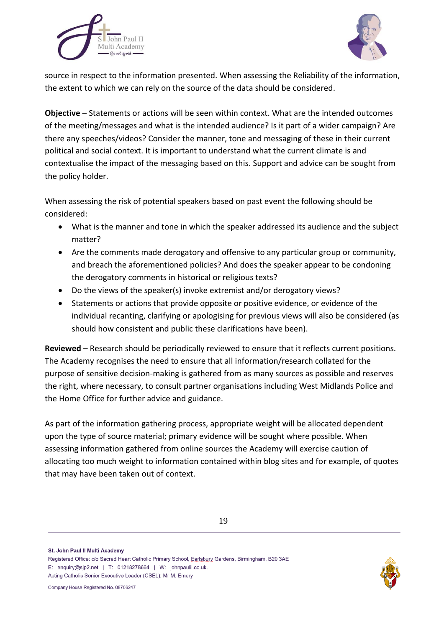



source in respect to the information presented. When assessing the Reliability of the information, the extent to which we can rely on the source of the data should be considered.

**Objective** – Statements or actions will be seen within context. What are the intended outcomes of the meeting/messages and what is the intended audience? Is it part of a wider campaign? Are there any speeches/videos? Consider the manner, tone and messaging of these in their current political and social context. It is important to understand what the current climate is and contextualise the impact of the messaging based on this. Support and advice can be sought from the policy holder.

When assessing the risk of potential speakers based on past event the following should be considered:

- What is the manner and tone in which the speaker addressed its audience and the subject matter?
- Are the comments made derogatory and offensive to any particular group or community, and breach the aforementioned policies? And does the speaker appear to be condoning the derogatory comments in historical or religious texts?
- Do the views of the speaker(s) invoke extremist and/or derogatory views?
- Statements or actions that provide opposite or positive evidence, or evidence of the individual recanting, clarifying or apologising for previous views will also be considered (as should how consistent and public these clarifications have been).

**Reviewed** – Research should be periodically reviewed to ensure that it reflects current positions. The Academy recognises the need to ensure that all information/research collated for the purpose of sensitive decision-making is gathered from as many sources as possible and reserves the right, where necessary, to consult partner organisations including West Midlands Police and the Home Office for further advice and guidance.

As part of the information gathering process, appropriate weight will be allocated dependent upon the type of source material; primary evidence will be sought where possible. When assessing information gathered from online sources the Academy will exercise caution of allocating too much weight to information contained within blog sites and for example, of quotes that may have been taken out of context.

St. John Paul II Multi Academy

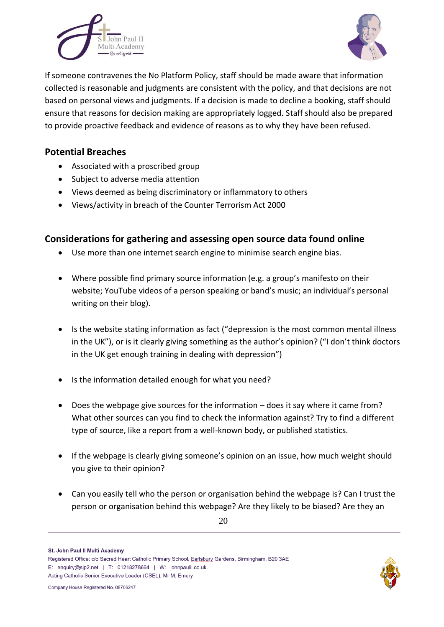



If someone contravenes the No Platform Policy, staff should be made aware that information collected is reasonable and judgments are consistent with the policy, and that decisions are not based on personal views and judgments. If a decision is made to decline a booking, staff should ensure that reasons for decision making are appropriately logged. Staff should also be prepared to provide proactive feedback and evidence of reasons as to why they have been refused.

### **Potential Breaches**

- Associated with a proscribed group
- Subject to adverse media attention
- Views deemed as being discriminatory or inflammatory to others
- Views/activity in breach of the Counter Terrorism Act 2000

### **Considerations for gathering and assessing open source data found online**

- Use more than one internet search engine to minimise search engine bias.
- Where possible find primary source information (e.g. a group's manifesto on their website; YouTube videos of a person speaking or band's music; an individual's personal writing on their blog).
- Is the website stating information as fact ("depression is the most common mental illness in the UK"), or is it clearly giving something as the author's opinion? ("I don't think doctors in the UK get enough training in dealing with depression")
- Is the information detailed enough for what you need?
- Does the webpage give sources for the information does it say where it came from? What other sources can you find to check the information against? Try to find a different type of source, like a report from a well-known body, or published statistics.
- If the webpage is clearly giving someone's opinion on an issue, how much weight should you give to their opinion?
- Can you easily tell who the person or organisation behind the webpage is? Can I trust the person or organisation behind this webpage? Are they likely to be biased? Are they an

St. John Paul II Multi Academy

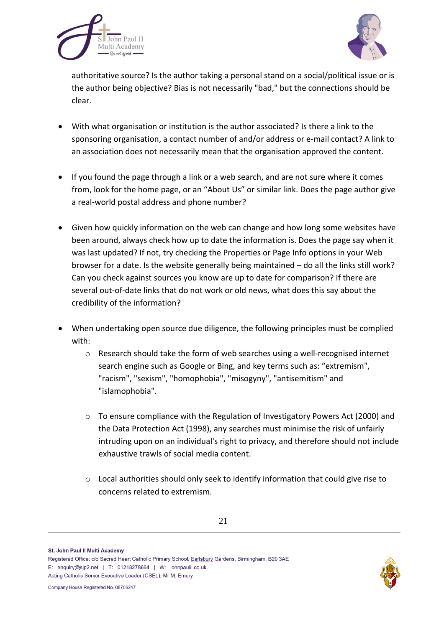



authoritative source? Is the author taking a personal stand on a social/political issue or is the author being objective? Bias is not necessarily "bad," but the connections should be clear.

- With what organisation or institution is the author associated? Is there a link to the sponsoring organisation, a contact number of and/or address or e-mail contact? A link to an association does not necessarily mean that the organisation approved the content.
- If you found the page through a link or a web search, and are not sure where it comes from, look for the home page, or an "About Us" or similar link. Does the page author give a real-world postal address and phone number?
- Given how quickly information on the web can change and how long some websites have been around, always check how up to date the information is. Does the page say when it was last updated? If not, try checking the Properties or Page Info options in your Web browser for a date. Is the website generally being maintained – do all the links still work? Can you check against sources you know are up to date for comparison? If there are several out-of-date links that do not work or old news, what does this say about the credibility of the information?
- When undertaking open source due diligence, the following principles must be complied with:
	- o Research should take the form of web searches using a well-recognised internet search engine such as Google or Bing, and key terms such as: "extremism", "racism", "sexism", "homophobia", "misogyny", "antisemitism" and "islamophobia".
	- o To ensure compliance with the Regulation of Investigatory Powers Act (2000) and the Data Protection Act (1998), any searches must minimise the risk of unfairly intruding upon on an individual's right to privacy, and therefore should not include exhaustive trawls of social media content.
	- o Local authorities should only seek to identify information that could give rise to concerns related to extremism.

St. John Paul II Multi Academy



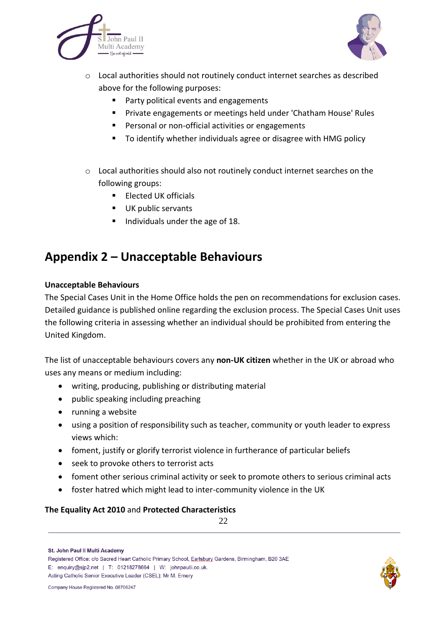



- o Local authorities should not routinely conduct internet searches as described above for the following purposes:
	- Party political events and engagements
	- Private engagements or meetings held under 'Chatham House' Rules
	- **Personal or non-official activities or engagements**
	- To identify whether individuals agree or disagree with HMG policy
- o Local authorities should also not routinely conduct internet searches on the following groups:
	- **Elected UK officials**
	- UK public servants
	- Individuals under the age of 18.

## **Appendix 2 – Unacceptable Behaviours**

#### **Unacceptable Behaviours**

The Special Cases Unit in the Home Office holds the pen on recommendations for exclusion cases. Detailed guidance is published online regarding the exclusion process. The Special Cases Unit uses the following criteria in assessing whether an individual should be prohibited from entering the United Kingdom.

The list of unacceptable behaviours covers any **non-UK citizen** whether in the UK or abroad who uses any means or medium including:

- writing, producing, publishing or distributing material
- public speaking including preaching
- running a website
- using a position of responsibility such as teacher, community or youth leader to express views which:
- foment, justify or glorify terrorist violence in furtherance of particular beliefs
- seek to provoke others to terrorist acts
- foment other serious criminal activity or seek to promote others to serious criminal acts
- foster hatred which might lead to inter-community violence in the UK

#### **The Equality Act 2010** and **Protected Characteristics**

22



St. John Paul II Multi Academy

Registered Office: c/o Sacred Heart Catholic Primary School, Earlsbury Gardens, Birmingham, B20 3AE E: enquiry@sip2.net | T: 01218278664 | W: johnpaulii.co.uk. Acting Catholic Senior Executive Leader (CSEL): Mr M. Emery